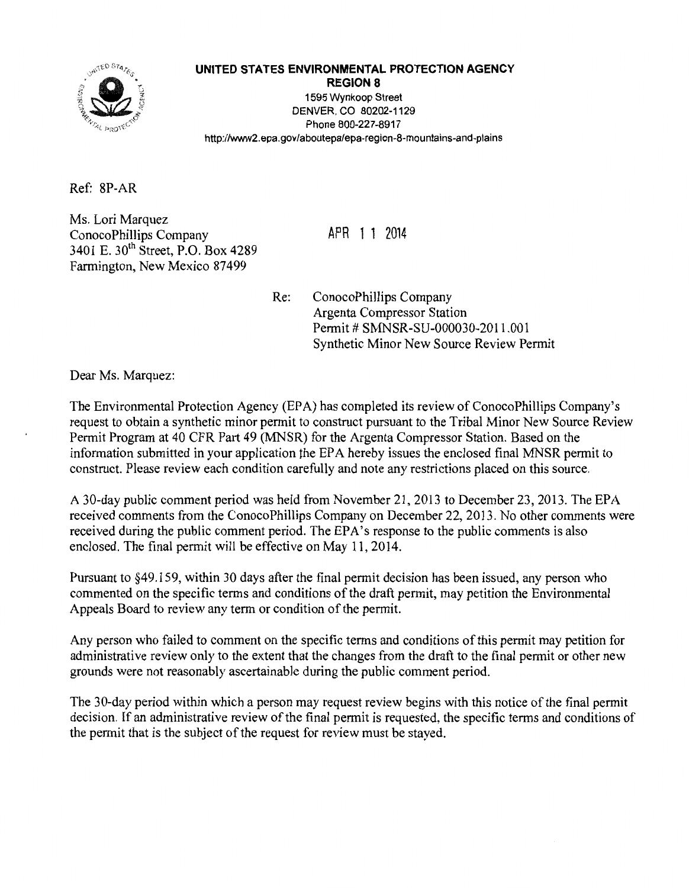

#### **UNITED STATES ENVIRONMENTAL PROTECTION AGENCY**

**REGION 8**  1595 Wynkoop Street DENVER, CO 80202-1129 Phone 800-227-8917 http://www2.epa.gov/aboutepa/epa-region-8-mountains-and-plains

Ref: 8P-AR

Ms. Lori Marquez ConocoPhillips Company 3401 E. 30<sup>th</sup> Street, P.O. Box 4289 Farmington, New Mexico 87499

APR 1 1 2014

Re: ConocoPhillips Company Argenta Compressor Station Permit # SMNSR-SU-000030-2011.001 Synthetic Minor New Source Review Permit

Dear Ms. Marquez:

The Environmental Protection Agency (EPA) has completed its review of ConocoPhillips Company's request to obtain a synthetic minor permit to construct pursuant to the Tribal Minor New Source Review Permit Program at 40 CFR Part 49 (MNSR) for the Argenta Compressor Station. Based on the information submitted in your application the EPA hereby issues the enclosed final MNSR permit to construct. Please review each condition carefully and note any restrictions placed on this source.

A 30-day public comment period was held from November 21,2013 to December 23, 2013. The EPA received comments from the ConocoPhillips Company on December 22,2013. No other comments were received during the public comment period. The EPA's response to the public comments is also enclosed. The final permit will be effective on May 11,2014.

Pursuant to §49.159, within 30 days after the final permit decision has been issued, any person who commented on the specific terms and conditions of the draft permit, may petition the Environmental Appeals Board to review any term or condition of the permit.

Any person who failed to comment on the specific terms and conditions of this permit may petition for administrative review only to the extent that the changes from the draft to the final permit or other new grounds were not reasonably ascertainable during the public comment period.

The 30-day period within which a person may request review begins with this notice of the final permit decision. If an administrative review of the final permit is requested, the specific terms and conditions of the permit that is the subject of the request for review must be stayed.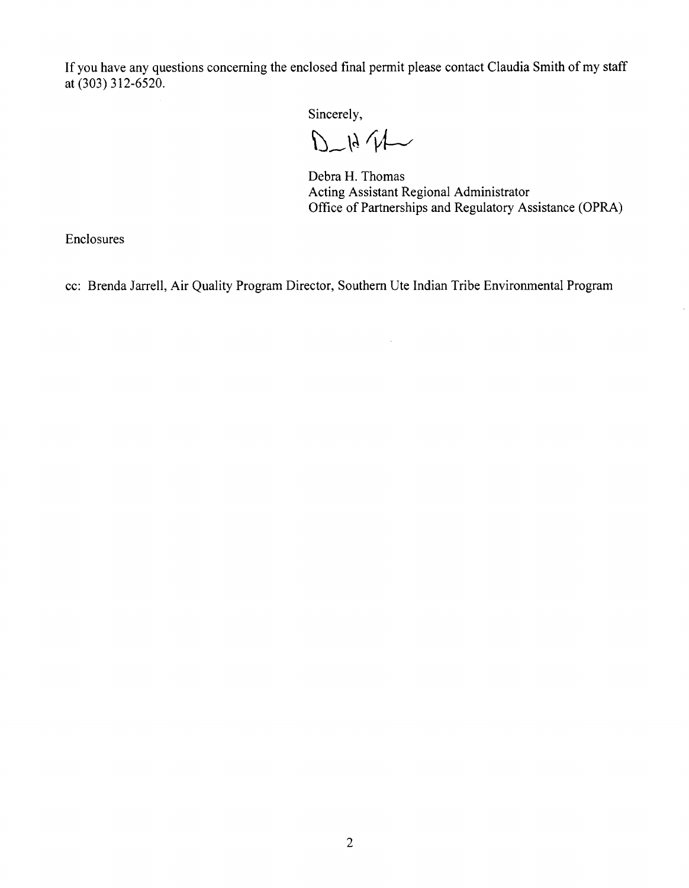If you have any questions concerning the enclosed final permit please contact Claudia Smith of my staff at (303) 312-6520.

Sincerely,

 $D - 1471$ 

Debra H. Thomas Acting Assistant Regional Administrator Office of Partnerships and Regulatory Assistance (OPRA)

Enclosures

cc: Brenda Jarrell, Air Quality Program Director, Southern Ute Indian Tribe Environmental Program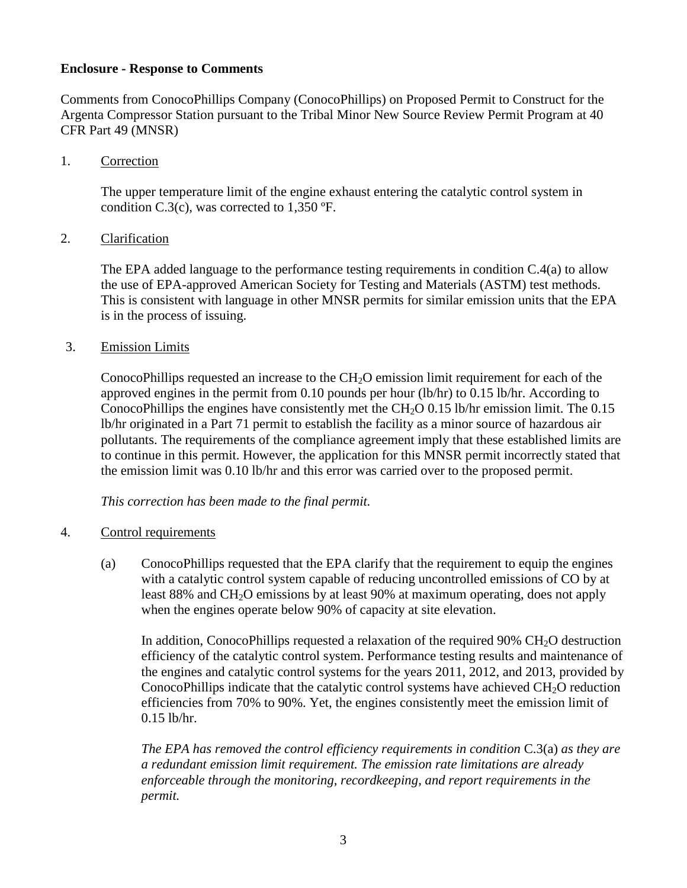#### **Enclosure - Response to Comments**

Comments from ConocoPhillips Company (ConocoPhillips) on Proposed Permit to Construct for the Argenta Compressor Station pursuant to the Tribal Minor New Source Review Permit Program at 40 CFR Part 49 (MNSR)

1. Correction

The upper temperature limit of the engine exhaust entering the catalytic control system in condition C.3(c), was corrected to 1,350 ºF.

#### 2. Clarification

The EPA added language to the performance testing requirements in condition C.4(a) to allow the use of EPA-approved American Society for Testing and Materials (ASTM) test methods. This is consistent with language in other MNSR permits for similar emission units that the EPA is in the process of issuing.

#### 3. Emission Limits

ConocoPhillips requested an increase to the  $CH<sub>2</sub>O$  emission limit requirement for each of the approved engines in the permit from 0.10 pounds per hour (lb/hr) to 0.15 lb/hr. According to ConocoPhillips the engines have consistently met the CH<sub>2</sub>O 0.15 lb/hr emission limit. The 0.15 lb/hr originated in a Part 71 permit to establish the facility as a minor source of hazardous air pollutants. The requirements of the compliance agreement imply that these established limits are to continue in this permit. However, the application for this MNSR permit incorrectly stated that the emission limit was 0.10 lb/hr and this error was carried over to the proposed permit.

*This correction has been made to the final permit.* 

- 4. Control requirements
	- (a) ConocoPhillips requested that the EPA clarify that the requirement to equip the engines with a catalytic control system capable of reducing uncontrolled emissions of CO by at least 88% and CH<sub>2</sub>O emissions by at least 90% at maximum operating, does not apply when the engines operate below 90% of capacity at site elevation.

In addition, ConocoPhillips requested a relaxation of the required  $90\%$  CH<sub>2</sub>O destruction efficiency of the catalytic control system. Performance testing results and maintenance of the engines and catalytic control systems for the years 2011, 2012, and 2013, provided by ConocoPhillips indicate that the catalytic control systems have achieved  $CH<sub>2</sub>O$  reduction efficiencies from 70% to 90%. Yet, the engines consistently meet the emission limit of 0.15 lb/hr.

*The EPA has removed the control efficiency requirements in condition* C.3(a) *as they are a redundant emission limit requirement. The emission rate limitations are already enforceable through the monitoring, recordkeeping, and report requirements in the permit.*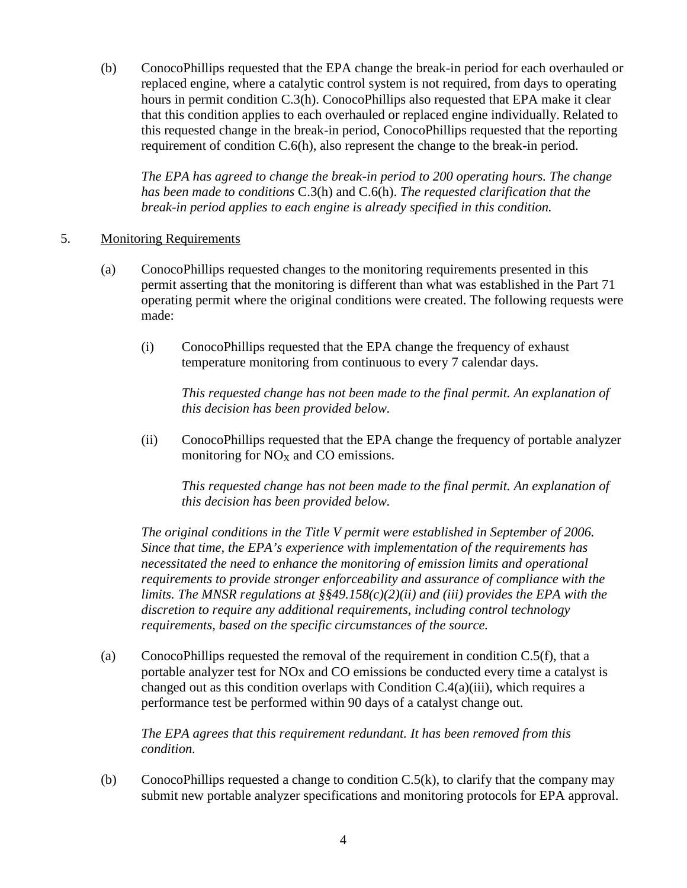(b) ConocoPhillips requested that the EPA change the break-in period for each overhauled or replaced engine, where a catalytic control system is not required, from days to operating hours in permit condition C.3(h). ConocoPhillips also requested that EPA make it clear that this condition applies to each overhauled or replaced engine individually. Related to this requested change in the break-in period, ConocoPhillips requested that the reporting requirement of condition C.6(h), also represent the change to the break-in period.

*The EPA has agreed to change the break-in period to 200 operating hours. The change has been made to conditions* C.3(h) and C.6(h). *The requested clarification that the break-in period applies to each engine is already specified in this condition.* 

#### 5. Monitoring Requirements

- (a) ConocoPhillips requested changes to the monitoring requirements presented in this permit asserting that the monitoring is different than what was established in the Part 71 operating permit where the original conditions were created. The following requests were made:
	- (i) ConocoPhillips requested that the EPA change the frequency of exhaust temperature monitoring from continuous to every 7 calendar days.

*This requested change has not been made to the final permit. An explanation of this decision has been provided below.* 

(ii) ConocoPhillips requested that the EPA change the frequency of portable analyzer monitoring for  $NO<sub>X</sub>$  and CO emissions.

*This requested change has not been made to the final permit. An explanation of this decision has been provided below.* 

*The original conditions in the Title V permit were established in September of 2006. Since that time, the EPA's experience with implementation of the requirements has necessitated the need to enhance the monitoring of emission limits and operational requirements to provide stronger enforceability and assurance of compliance with the limits. The MNSR regulations at §§49.158(c)(2)(ii) and (iii) provides the EPA with the discretion to require any additional requirements, including control technology requirements, based on the specific circumstances of the source.*

(a) ConocoPhillips requested the removal of the requirement in condition C.5(f), that a portable analyzer test for NOx and CO emissions be conducted every time a catalyst is changed out as this condition overlaps with Condition  $C.4(a)(iii)$ , which requires a performance test be performed within 90 days of a catalyst change out.

*The EPA agrees that this requirement redundant. It has been removed from this condition.* 

(b) ConocoPhillips requested a change to condition  $C.5(k)$ , to clarify that the company may submit new portable analyzer specifications and monitoring protocols for EPA approval.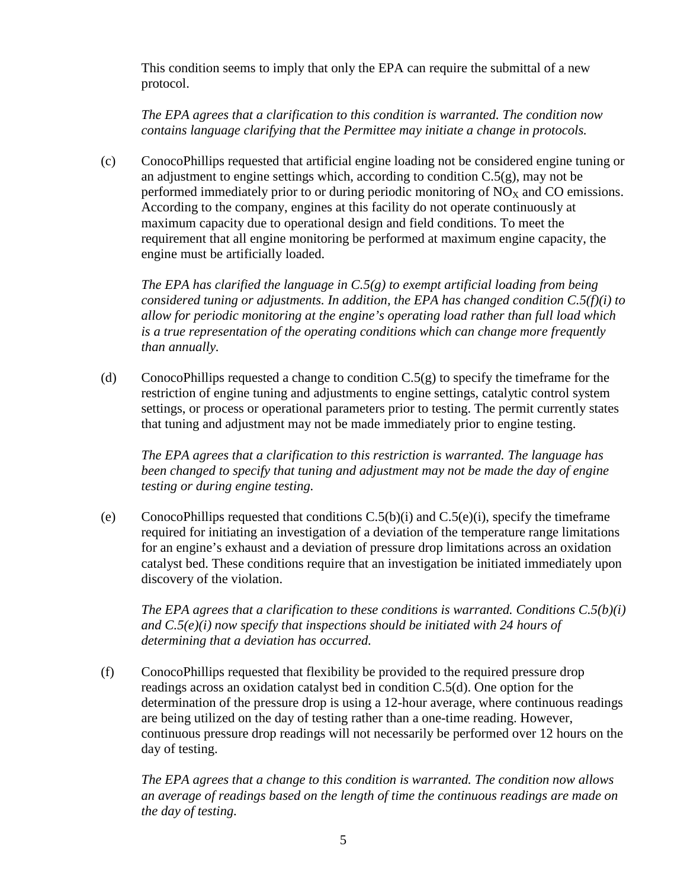This condition seems to imply that only the EPA can require the submittal of a new protocol.

*The EPA agrees that a clarification to this condition is warranted. The condition now contains language clarifying that the Permittee may initiate a change in protocols.*

(c) ConocoPhillips requested that artificial engine loading not be considered engine tuning or an adjustment to engine settings which, according to condition  $C.5(g)$ , may not be performed immediately prior to or during periodic monitoring of  $NO<sub>x</sub>$  and CO emissions. According to the company, engines at this facility do not operate continuously at maximum capacity due to operational design and field conditions. To meet the requirement that all engine monitoring be performed at maximum engine capacity, the engine must be artificially loaded.

*The EPA has clarified the language in C.5(g) to exempt artificial loading from being considered tuning or adjustments. In addition, the EPA has changed condition C.5(f)(i) to allow for periodic monitoring at the engine's operating load rather than full load which is a true representation of the operating conditions which can change more frequently than annually.* 

(d) ConocoPhillips requested a change to condition  $C.5(g)$  to specify the timeframe for the restriction of engine tuning and adjustments to engine settings, catalytic control system settings, or process or operational parameters prior to testing. The permit currently states that tuning and adjustment may not be made immediately prior to engine testing.

*The EPA agrees that a clarification to this restriction is warranted. The language has been changed to specify that tuning and adjustment may not be made the day of engine testing or during engine testing.* 

(e) ConocoPhillips requested that conditions  $C.5(b)(i)$  and  $C.5(e)(i)$ , specify the timeframe required for initiating an investigation of a deviation of the temperature range limitations for an engine's exhaust and a deviation of pressure drop limitations across an oxidation catalyst bed. These conditions require that an investigation be initiated immediately upon discovery of the violation.

*The EPA agrees that a clarification to these conditions is warranted. Conditions C.5(b)(i) and C.5(e)(i) now specify that inspections should be initiated with 24 hours of determining that a deviation has occurred.*

(f) ConocoPhillips requested that flexibility be provided to the required pressure drop readings across an oxidation catalyst bed in condition C.5(d). One option for the determination of the pressure drop is using a 12-hour average, where continuous readings are being utilized on the day of testing rather than a one-time reading. However, continuous pressure drop readings will not necessarily be performed over 12 hours on the day of testing.

*The EPA agrees that a change to this condition is warranted. The condition now allows an average of readings based on the length of time the continuous readings are made on the day of testing.*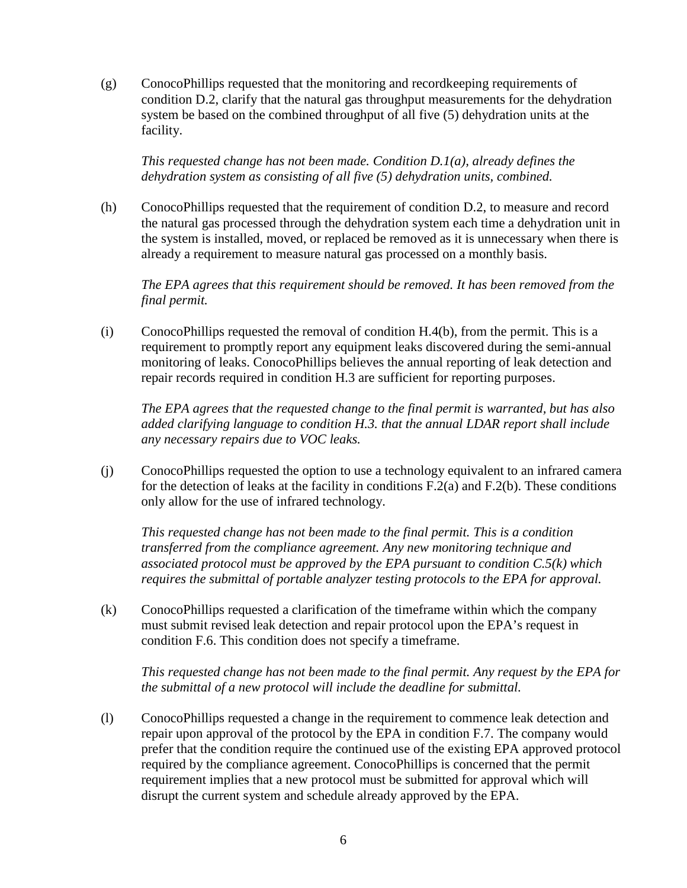(g) ConocoPhillips requested that the monitoring and recordkeeping requirements of condition D.2, clarify that the natural gas throughput measurements for the dehydration system be based on the combined throughput of all five (5) dehydration units at the facility.

*This requested change has not been made. Condition D.1(a), already defines the dehydration system as consisting of all five (5) dehydration units, combined.*

(h) ConocoPhillips requested that the requirement of condition D.2, to measure and record the natural gas processed through the dehydration system each time a dehydration unit in the system is installed, moved, or replaced be removed as it is unnecessary when there is already a requirement to measure natural gas processed on a monthly basis.

*The EPA agrees that this requirement should be removed. It has been removed from the final permit.* 

(i) ConocoPhillips requested the removal of condition H.4(b), from the permit. This is a requirement to promptly report any equipment leaks discovered during the semi-annual monitoring of leaks. ConocoPhillips believes the annual reporting of leak detection and repair records required in condition H.3 are sufficient for reporting purposes.

*The EPA agrees that the requested change to the final permit is warranted, but has also added clarifying language to condition H.3. that the annual LDAR report shall include any necessary repairs due to VOC leaks.* 

(j) ConocoPhillips requested the option to use a technology equivalent to an infrared camera for the detection of leaks at the facility in conditions F.2(a) and F.2(b). These conditions only allow for the use of infrared technology.

*This requested change has not been made to the final permit. This is a condition transferred from the compliance agreement. Any new monitoring technique and associated protocol must be approved by the EPA pursuant to condition C.5(k) which requires the submittal of portable analyzer testing protocols to the EPA for approval.*

(k) ConocoPhillips requested a clarification of the timeframe within which the company must submit revised leak detection and repair protocol upon the EPA's request in condition F.6. This condition does not specify a timeframe.

*This requested change has not been made to the final permit. Any request by the EPA for the submittal of a new protocol will include the deadline for submittal.*

(l) ConocoPhillips requested a change in the requirement to commence leak detection and repair upon approval of the protocol by the EPA in condition F.7. The company would prefer that the condition require the continued use of the existing EPA approved protocol required by the compliance agreement. ConocoPhillips is concerned that the permit requirement implies that a new protocol must be submitted for approval which will disrupt the current system and schedule already approved by the EPA.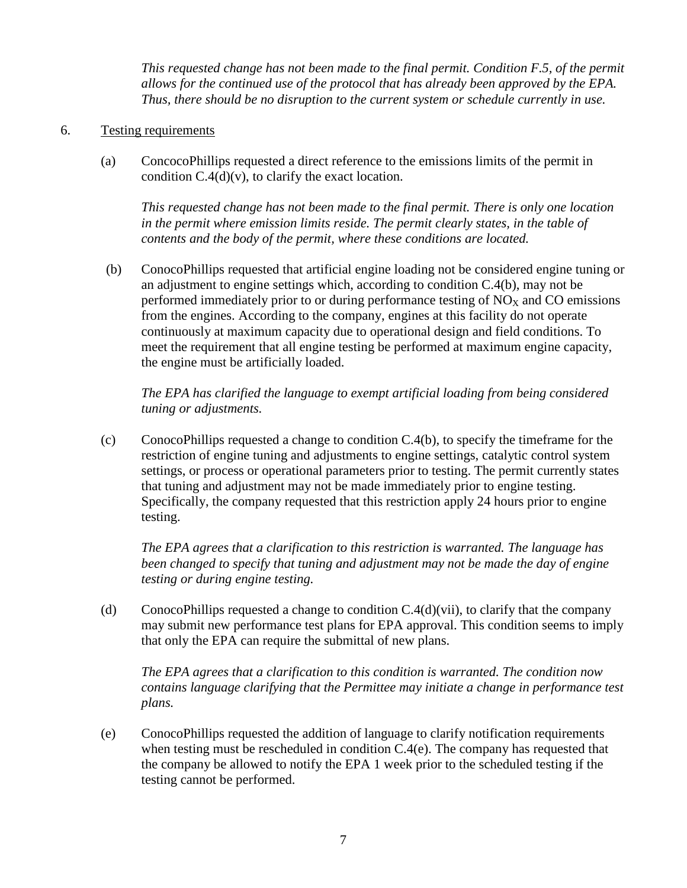*This requested change has not been made to the final permit. Condition F.5, of the permit allows for the continued use of the protocol that has already been approved by the EPA. Thus, there should be no disruption to the current system or schedule currently in use.* 

#### 6. Testing requirements

(a) ConcocoPhillips requested a direct reference to the emissions limits of the permit in condition  $C.4(d)(v)$ , to clarify the exact location.

*This requested change has not been made to the final permit. There is only one location in the permit where emission limits reside. The permit clearly states, in the table of contents and the body of the permit, where these conditions are located.*

(b) ConocoPhillips requested that artificial engine loading not be considered engine tuning or an adjustment to engine settings which, according to condition C.4(b), may not be performed immediately prior to or during performance testing of  $NO<sub>X</sub>$  and CO emissions from the engines. According to the company, engines at this facility do not operate continuously at maximum capacity due to operational design and field conditions. To meet the requirement that all engine testing be performed at maximum engine capacity, the engine must be artificially loaded.

*The EPA has clarified the language to exempt artificial loading from being considered tuning or adjustments.*

(c) ConocoPhillips requested a change to condition C.4(b), to specify the timeframe for the restriction of engine tuning and adjustments to engine settings, catalytic control system settings, or process or operational parameters prior to testing. The permit currently states that tuning and adjustment may not be made immediately prior to engine testing. Specifically, the company requested that this restriction apply 24 hours prior to engine testing.

*The EPA agrees that a clarification to this restriction is warranted. The language has been changed to specify that tuning and adjustment may not be made the day of engine testing or during engine testing.* 

(d) ConocoPhillips requested a change to condition  $C.4(d)(\dot{v}i)$ , to clarify that the company may submit new performance test plans for EPA approval. This condition seems to imply that only the EPA can require the submittal of new plans.

*The EPA agrees that a clarification to this condition is warranted. The condition now contains language clarifying that the Permittee may initiate a change in performance test plans.*

(e) ConocoPhillips requested the addition of language to clarify notification requirements when testing must be rescheduled in condition C.4(e). The company has requested that the company be allowed to notify the EPA 1 week prior to the scheduled testing if the testing cannot be performed.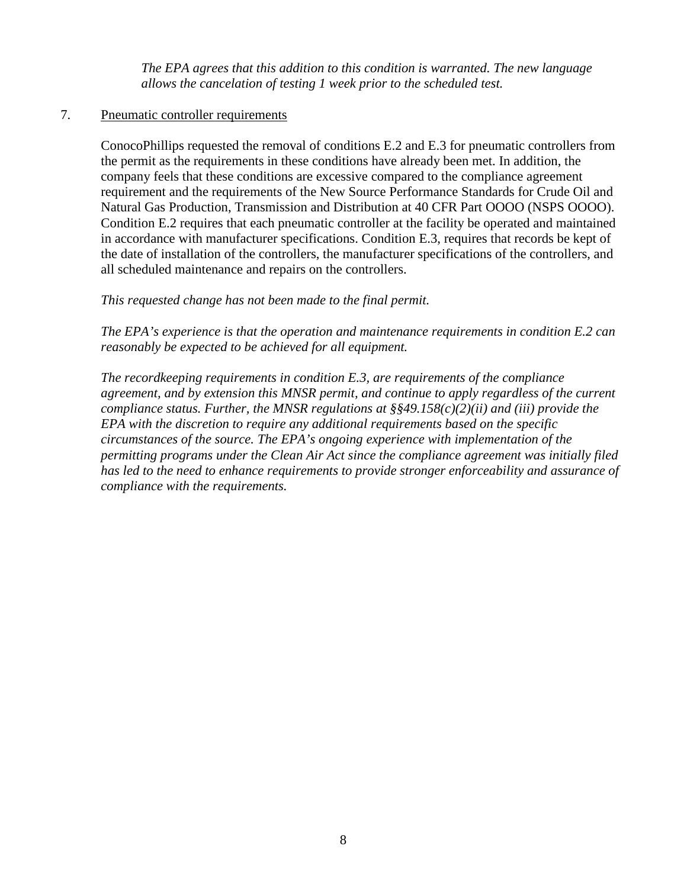*The EPA agrees that this addition to this condition is warranted. The new language allows the cancelation of testing 1 week prior to the scheduled test.*

#### 7. Pneumatic controller requirements

ConocoPhillips requested the removal of conditions E.2 and E.3 for pneumatic controllers from the permit as the requirements in these conditions have already been met. In addition, the company feels that these conditions are excessive compared to the compliance agreement requirement and the requirements of the New Source Performance Standards for Crude Oil and Natural Gas Production, Transmission and Distribution at 40 CFR Part OOOO (NSPS OOOO). Condition E.2 requires that each pneumatic controller at the facility be operated and maintained in accordance with manufacturer specifications. Condition E.3, requires that records be kept of the date of installation of the controllers, the manufacturer specifications of the controllers, and all scheduled maintenance and repairs on the controllers.

*This requested change has not been made to the final permit.* 

*The EPA's experience is that the operation and maintenance requirements in condition E.2 can reasonably be expected to be achieved for all equipment.*

*The recordkeeping requirements in condition E.3, are requirements of the compliance agreement, and by extension this MNSR permit, and continue to apply regardless of the current compliance status. Further, the MNSR regulations at §§49.158(c)(2)(ii) and (iii) provide the EPA with the discretion to require any additional requirements based on the specific circumstances of the source. The EPA's ongoing experience with implementation of the permitting programs under the Clean Air Act since the compliance agreement was initially filed has led to the need to enhance requirements to provide stronger enforceability and assurance of compliance with the requirements.*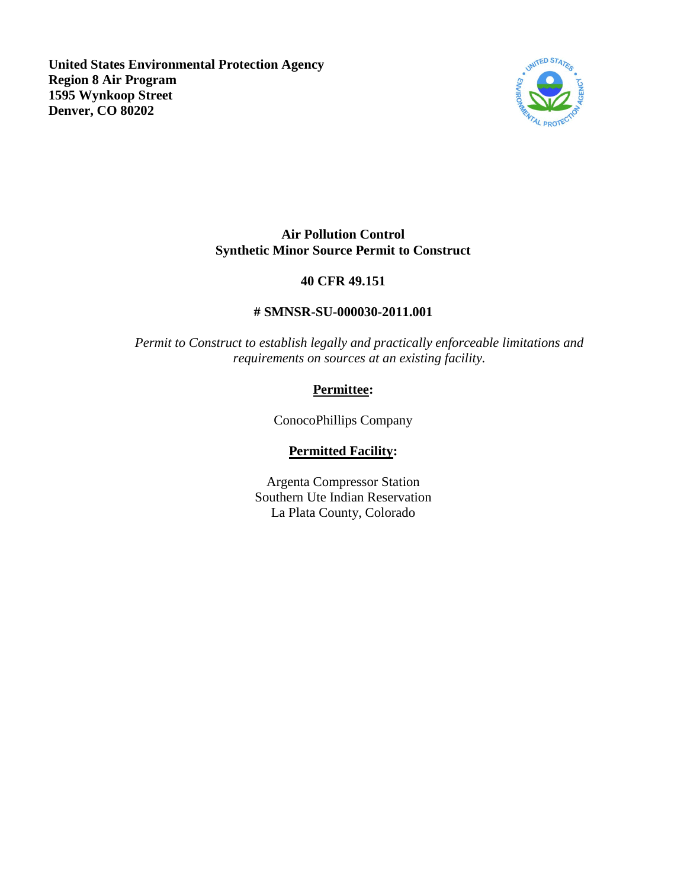**United States Environmental Protection Agency Region 8 Air Program 1595 Wynkoop Street Denver, CO 80202**



## **Air Pollution Control Synthetic Minor Source Permit to Construct**

## **40 CFR 49.151**

## **# SMNSR-SU-000030-2011.001**

*Permit to Construct to establish legally and practically enforceable limitations and requirements on sources at an existing facility.*

# **Permittee:**

ConocoPhillips Company

# **Permitted Facility:**

Argenta Compressor Station Southern Ute Indian Reservation La Plata County, Colorado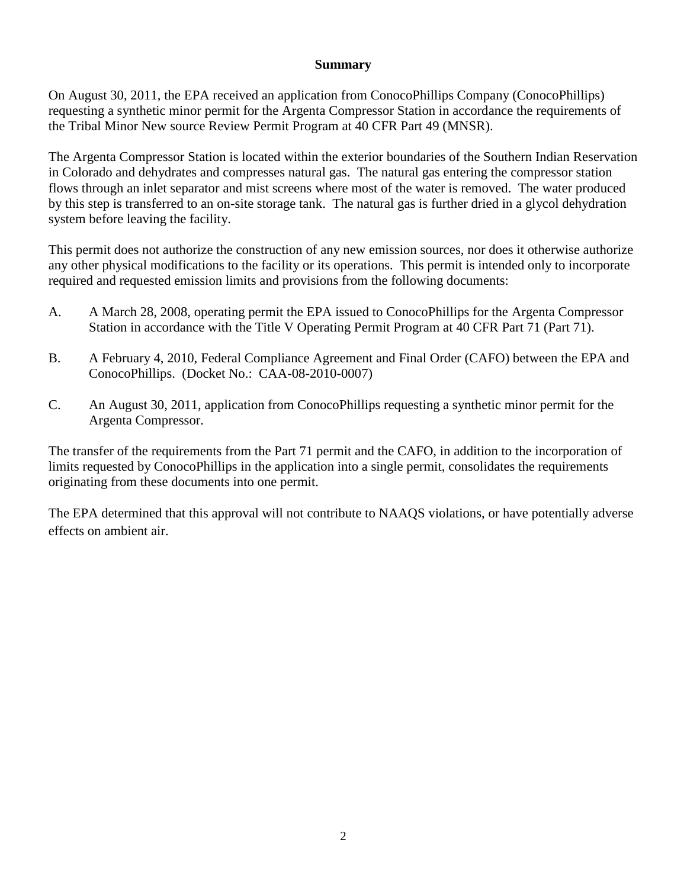#### **Summary**

On August 30, 2011, the EPA received an application from ConocoPhillips Company (ConocoPhillips) requesting a synthetic minor permit for the Argenta Compressor Station in accordance the requirements of the Tribal Minor New source Review Permit Program at 40 CFR Part 49 (MNSR).

The Argenta Compressor Station is located within the exterior boundaries of the Southern Indian Reservation in Colorado and dehydrates and compresses natural gas. The natural gas entering the compressor station flows through an inlet separator and mist screens where most of the water is removed. The water produced by this step is transferred to an on-site storage tank. The natural gas is further dried in a glycol dehydration system before leaving the facility.

This permit does not authorize the construction of any new emission sources, nor does it otherwise authorize any other physical modifications to the facility or its operations. This permit is intended only to incorporate required and requested emission limits and provisions from the following documents:

- A. A March 28, 2008, operating permit the EPA issued to ConocoPhillips for the Argenta Compressor Station in accordance with the Title V Operating Permit Program at 40 CFR Part 71 (Part 71).
- B. A February 4, 2010, Federal Compliance Agreement and Final Order (CAFO) between the EPA and ConocoPhillips. (Docket No.: CAA-08-2010-0007)
- C. An August 30, 2011, application from ConocoPhillips requesting a synthetic minor permit for the Argenta Compressor.

The transfer of the requirements from the Part 71 permit and the CAFO, in addition to the incorporation of limits requested by ConocoPhillips in the application into a single permit, consolidates the requirements originating from these documents into one permit.

The EPA determined that this approval will not contribute to NAAQS violations, or have potentially adverse effects on ambient air.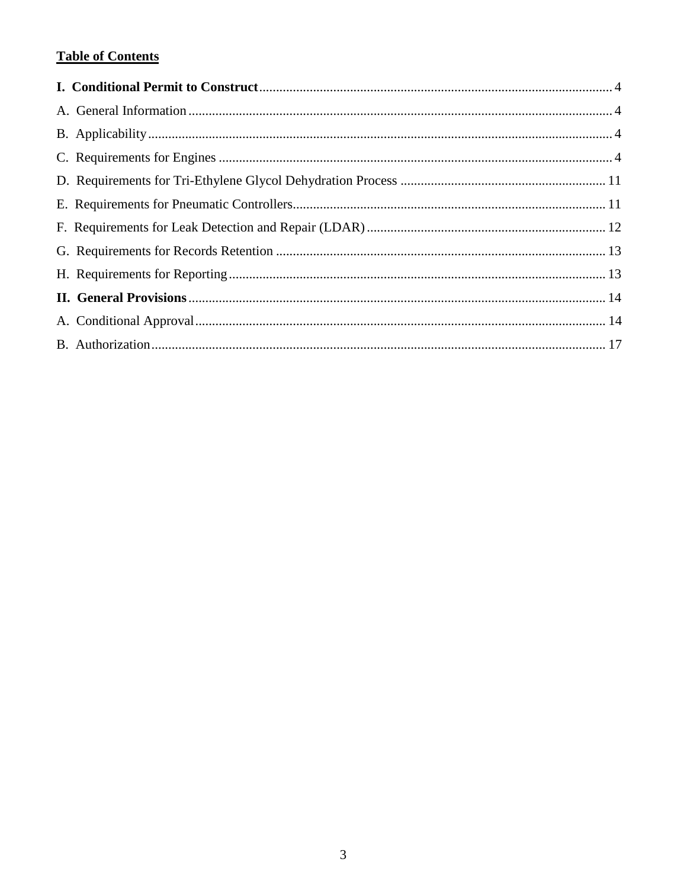# **Table of Contents**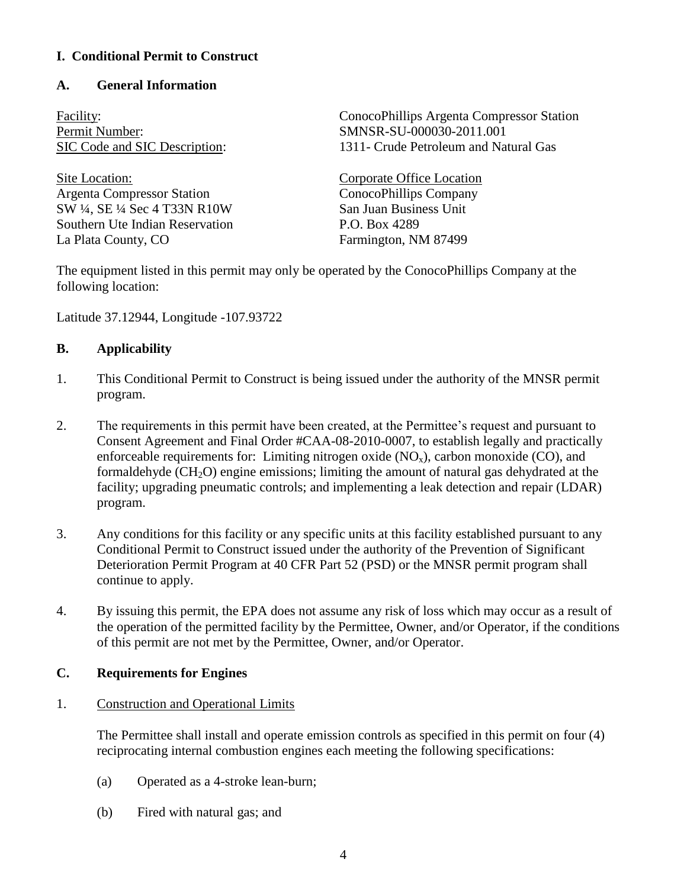# **I. Conditional Permit to Construct**

## **A. General Information**

Permit Number: SMNSR-SU-000030-2011.001

Site Location: Corporate Office Location Argenta Compressor Station ConocoPhillips Company SW ¼, SE ¼ Sec 4 T33N R10W San Juan Business Unit Southern Ute Indian Reservation P.O. Box 4289 La Plata County, CO Farmington, NM 87499

Facility: ConocoPhillips Argenta Compressor Station SIC Code and SIC Description: 1311- Crude Petroleum and Natural Gas

<span id="page-11-1"></span><span id="page-11-0"></span>

The equipment listed in this permit may only be operated by the ConocoPhillips Company at the following location:

Latitude 37.12944, Longitude -107.93722

# <span id="page-11-2"></span>**B. Applicability**

- 1. This Conditional Permit to Construct is being issued under the authority of the MNSR permit program.
- 2. The requirements in this permit have been created, at the Permittee's request and pursuant to Consent Agreement and Final Order #CAA-08-2010-0007, to establish legally and practically enforceable requirements for: Limiting nitrogen oxide  $(NO<sub>x</sub>)$ , carbon monoxide  $(CO)$ , and formaldehyde (CH<sub>2</sub>O) engine emissions; limiting the amount of natural gas dehydrated at the facility; upgrading pneumatic controls; and implementing a leak detection and repair (LDAR) program.
- 3. Any conditions for this facility or any specific units at this facility established pursuant to any Conditional Permit to Construct issued under the authority of the Prevention of Significant Deterioration Permit Program at 40 CFR Part 52 (PSD) or the MNSR permit program shall continue to apply.
- 4. By issuing this permit, the EPA does not assume any risk of loss which may occur as a result of the operation of the permitted facility by the Permittee, Owner, and/or Operator, if the conditions of this permit are not met by the Permittee, Owner, and/or Operator.

## **C. Requirements for Engines**

## 1. Construction and Operational Limits

<span id="page-11-3"></span>The Permittee shall install and operate emission controls as specified in this permit on four (4) reciprocating internal combustion engines each meeting the following specifications:

- (a) Operated as a 4-stroke lean-burn;
- (b) Fired with natural gas; and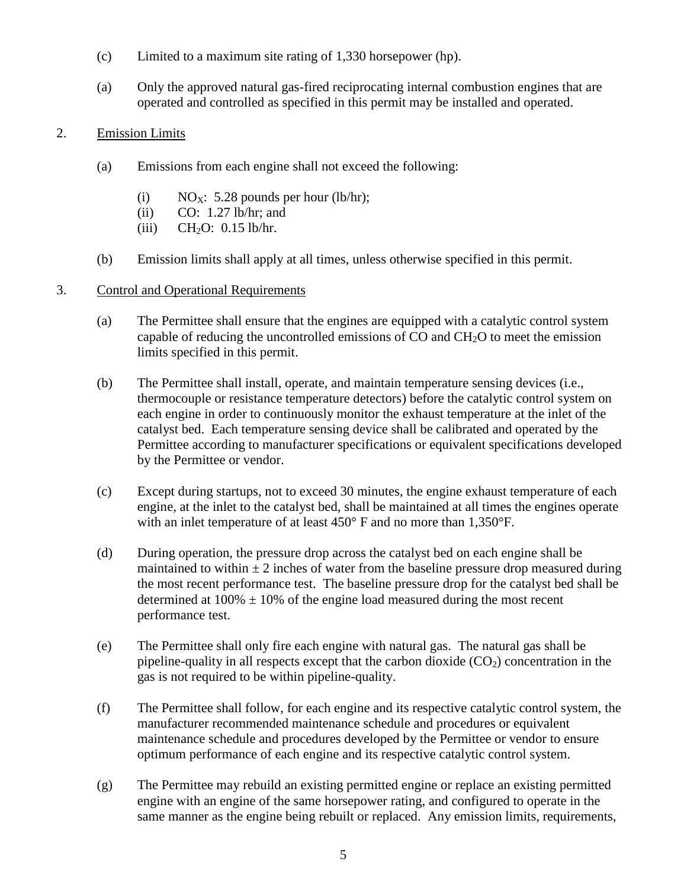- (c) Limited to a maximum site rating of 1,330 horsepower (hp).
- (a) Only the approved natural gas-fired reciprocating internal combustion engines that are operated and controlled as specified in this permit may be installed and operated.
- 2. Emission Limits
	- (a) Emissions from each engine shall not exceed the following:
		- (i)  $NO_X$ : 5.28 pounds per hour (lb/hr);
		- (ii) CO: 1.27 lb/hr; and
		- (iii)  $CH<sub>2</sub>O$ : 0.15 lb/hr.
	- (b) Emission limits shall apply at all times, unless otherwise specified in this permit.
- 3. Control and Operational Requirements
	- (a) The Permittee shall ensure that the engines are equipped with a catalytic control system capable of reducing the uncontrolled emissions of CO and  $CH<sub>2</sub>O$  to meet the emission limits specified in this permit.
	- (b) The Permittee shall install, operate, and maintain temperature sensing devices (i.e., thermocouple or resistance temperature detectors) before the catalytic control system on each engine in order to continuously monitor the exhaust temperature at the inlet of the catalyst bed. Each temperature sensing device shall be calibrated and operated by the Permittee according to manufacturer specifications or equivalent specifications developed by the Permittee or vendor.
	- (c) Except during startups, not to exceed 30 minutes, the engine exhaust temperature of each engine, at the inlet to the catalyst bed, shall be maintained at all times the engines operate with an inlet temperature of at least 450° F and no more than 1,350°F.
	- (d) During operation, the pressure drop across the catalyst bed on each engine shall be maintained to within  $\pm 2$  inches of water from the baseline pressure drop measured during the most recent performance test. The baseline pressure drop for the catalyst bed shall be determined at  $100\% \pm 10\%$  of the engine load measured during the most recent performance test.
	- (e) The Permittee shall only fire each engine with natural gas. The natural gas shall be pipeline-quality in all respects except that the carbon dioxide  $(CO<sub>2</sub>)$  concentration in the gas is not required to be within pipeline-quality.
	- (f) The Permittee shall follow, for each engine and its respective catalytic control system, the manufacturer recommended maintenance schedule and procedures or equivalent maintenance schedule and procedures developed by the Permittee or vendor to ensure optimum performance of each engine and its respective catalytic control system.
	- (g) The Permittee may rebuild an existing permitted engine or replace an existing permitted engine with an engine of the same horsepower rating, and configured to operate in the same manner as the engine being rebuilt or replaced. Any emission limits, requirements,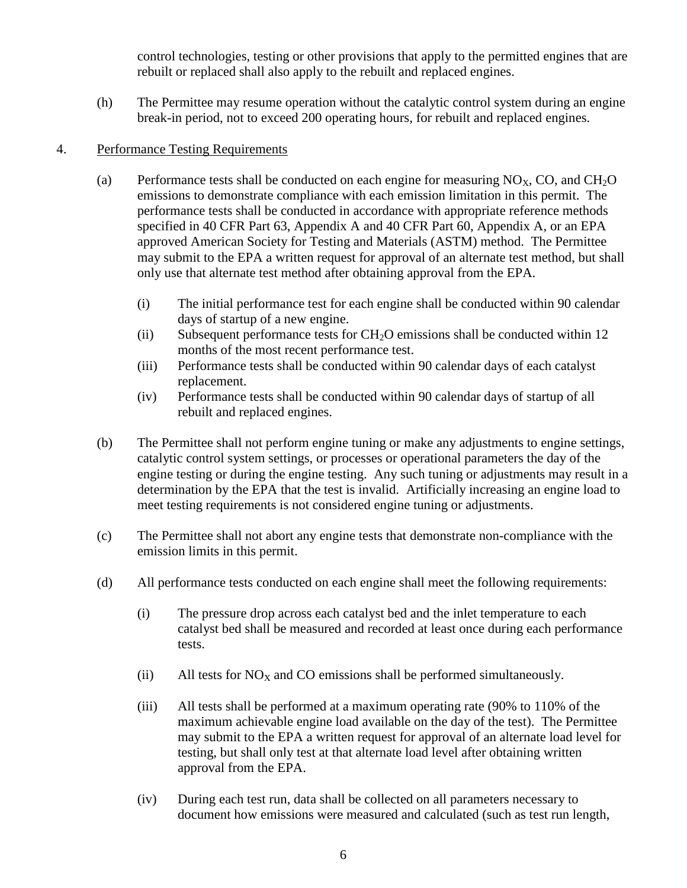control technologies, testing or other provisions that apply to the permitted engines that are rebuilt or replaced shall also apply to the rebuilt and replaced engines.

(h) The Permittee may resume operation without the catalytic control system during an engine break-in period, not to exceed 200 operating hours, for rebuilt and replaced engines.

## 4. Performance Testing Requirements

- (a) Performance tests shall be conducted on each engine for measuring  $NO_{x}$ , CO, and CH<sub>2</sub>O emissions to demonstrate compliance with each emission limitation in this permit. The performance tests shall be conducted in accordance with appropriate reference methods specified in 40 CFR Part 63, Appendix A and 40 CFR Part 60, Appendix A, or an EPA approved American Society for Testing and Materials (ASTM) method. The Permittee may submit to the EPA a written request for approval of an alternate test method, but shall only use that alternate test method after obtaining approval from the EPA.
	- (i) The initial performance test for each engine shall be conducted within 90 calendar days of startup of a new engine.
	- (ii) Subsequent performance tests for  $CH<sub>2</sub>O$  emissions shall be conducted within 12 months of the most recent performance test.
	- (iii) Performance tests shall be conducted within 90 calendar days of each catalyst replacement.
	- (iv) Performance tests shall be conducted within 90 calendar days of startup of all rebuilt and replaced engines.
- (b) The Permittee shall not perform engine tuning or make any adjustments to engine settings, catalytic control system settings, or processes or operational parameters the day of the engine testing or during the engine testing. Any such tuning or adjustments may result in a determination by the EPA that the test is invalid. Artificially increasing an engine load to meet testing requirements is not considered engine tuning or adjustments.
- (c) The Permittee shall not abort any engine tests that demonstrate non-compliance with the emission limits in this permit.
- (d) All performance tests conducted on each engine shall meet the following requirements:
	- (i) The pressure drop across each catalyst bed and the inlet temperature to each catalyst bed shall be measured and recorded at least once during each performance tests.
	- (ii) All tests for  $NO<sub>X</sub>$  and CO emissions shall be performed simultaneously.
	- (iii) All tests shall be performed at a maximum operating rate (90% to 110% of the maximum achievable engine load available on the day of the test). The Permittee may submit to the EPA a written request for approval of an alternate load level for testing, but shall only test at that alternate load level after obtaining written approval from the EPA.
	- (iv) During each test run, data shall be collected on all parameters necessary to document how emissions were measured and calculated (such as test run length,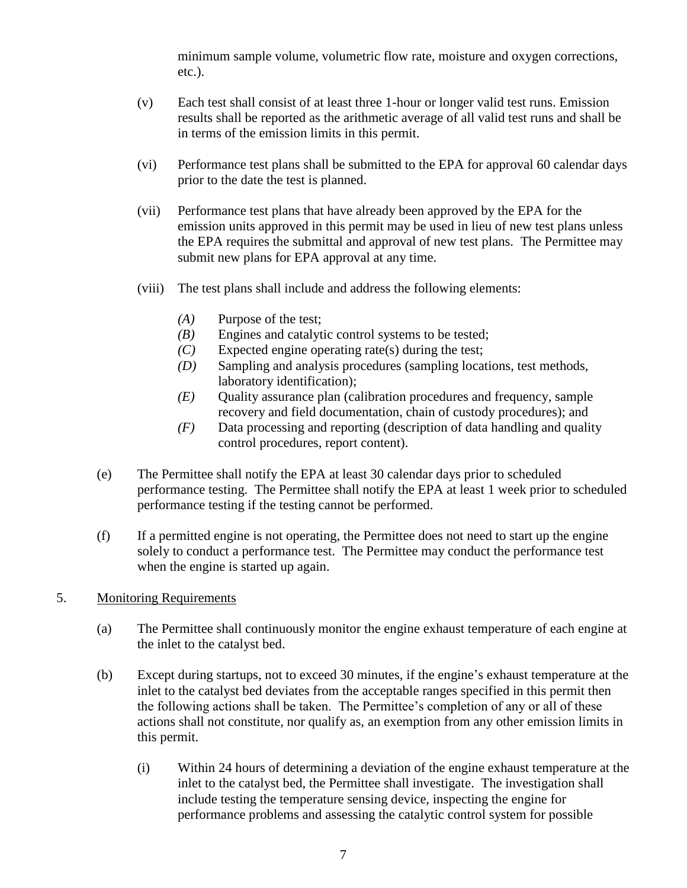minimum sample volume, volumetric flow rate, moisture and oxygen corrections, etc.).

- (v) Each test shall consist of at least three 1-hour or longer valid test runs. Emission results shall be reported as the arithmetic average of all valid test runs and shall be in terms of the emission limits in this permit.
- (vi) Performance test plans shall be submitted to the EPA for approval 60 calendar days prior to the date the test is planned.
- (vii) Performance test plans that have already been approved by the EPA for the emission units approved in this permit may be used in lieu of new test plans unless the EPA requires the submittal and approval of new test plans. The Permittee may submit new plans for EPA approval at any time.
- (viii) The test plans shall include and address the following elements:
	- *(A)* Purpose of the test;
	- *(B)* Engines and catalytic control systems to be tested;
	- *(C)* Expected engine operating rate(s) during the test;
	- *(D)* Sampling and analysis procedures (sampling locations, test methods, laboratory identification);
	- *(E)* Quality assurance plan (calibration procedures and frequency, sample recovery and field documentation, chain of custody procedures); and
	- *(F)* Data processing and reporting (description of data handling and quality control procedures, report content).
- (e) The Permittee shall notify the EPA at least 30 calendar days prior to scheduled performance testing. The Permittee shall notify the EPA at least 1 week prior to scheduled performance testing if the testing cannot be performed.
- (f) If a permitted engine is not operating, the Permittee does not need to start up the engine solely to conduct a performance test. The Permittee may conduct the performance test when the engine is started up again.
- 5. Monitoring Requirements
	- (a) The Permittee shall continuously monitor the engine exhaust temperature of each engine at the inlet to the catalyst bed.
	- (b) Except during startups, not to exceed 30 minutes, if the engine's exhaust temperature at the inlet to the catalyst bed deviates from the acceptable ranges specified in this permit then the following actions shall be taken. The Permittee's completion of any or all of these actions shall not constitute, nor qualify as, an exemption from any other emission limits in this permit.
		- (i) Within 24 hours of determining a deviation of the engine exhaust temperature at the inlet to the catalyst bed, the Permittee shall investigate. The investigation shall include testing the temperature sensing device, inspecting the engine for performance problems and assessing the catalytic control system for possible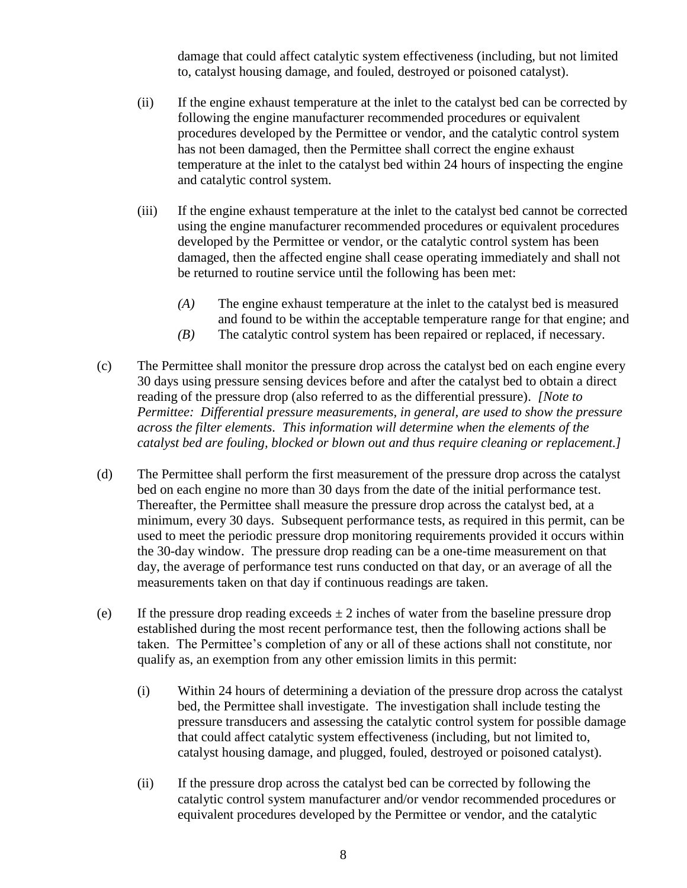damage that could affect catalytic system effectiveness (including, but not limited to, catalyst housing damage, and fouled, destroyed or poisoned catalyst).

- (ii) If the engine exhaust temperature at the inlet to the catalyst bed can be corrected by following the engine manufacturer recommended procedures or equivalent procedures developed by the Permittee or vendor, and the catalytic control system has not been damaged, then the Permittee shall correct the engine exhaust temperature at the inlet to the catalyst bed within 24 hours of inspecting the engine and catalytic control system.
- (iii) If the engine exhaust temperature at the inlet to the catalyst bed cannot be corrected using the engine manufacturer recommended procedures or equivalent procedures developed by the Permittee or vendor, or the catalytic control system has been damaged, then the affected engine shall cease operating immediately and shall not be returned to routine service until the following has been met:
	- *(A)* The engine exhaust temperature at the inlet to the catalyst bed is measured and found to be within the acceptable temperature range for that engine; and
	- *(B)* The catalytic control system has been repaired or replaced, if necessary.
- (c) The Permittee shall monitor the pressure drop across the catalyst bed on each engine every 30 days using pressure sensing devices before and after the catalyst bed to obtain a direct reading of the pressure drop (also referred to as the differential pressure). *[Note to Permittee: Differential pressure measurements, in general, are used to show the pressure across the filter elements. This information will determine when the elements of the catalyst bed are fouling, blocked or blown out and thus require cleaning or replacement.]*
- (d) The Permittee shall perform the first measurement of the pressure drop across the catalyst bed on each engine no more than 30 days from the date of the initial performance test. Thereafter, the Permittee shall measure the pressure drop across the catalyst bed, at a minimum, every 30 days. Subsequent performance tests, as required in this permit, can be used to meet the periodic pressure drop monitoring requirements provided it occurs within the 30-day window. The pressure drop reading can be a one-time measurement on that day, the average of performance test runs conducted on that day, or an average of all the measurements taken on that day if continuous readings are taken.
- (e) If the pressure drop reading exceeds  $\pm 2$  inches of water from the baseline pressure drop established during the most recent performance test, then the following actions shall be taken. The Permittee's completion of any or all of these actions shall not constitute, nor qualify as, an exemption from any other emission limits in this permit:
	- (i) Within 24 hours of determining a deviation of the pressure drop across the catalyst bed, the Permittee shall investigate. The investigation shall include testing the pressure transducers and assessing the catalytic control system for possible damage that could affect catalytic system effectiveness (including, but not limited to, catalyst housing damage, and plugged, fouled, destroyed or poisoned catalyst).
	- (ii) If the pressure drop across the catalyst bed can be corrected by following the catalytic control system manufacturer and/or vendor recommended procedures or equivalent procedures developed by the Permittee or vendor, and the catalytic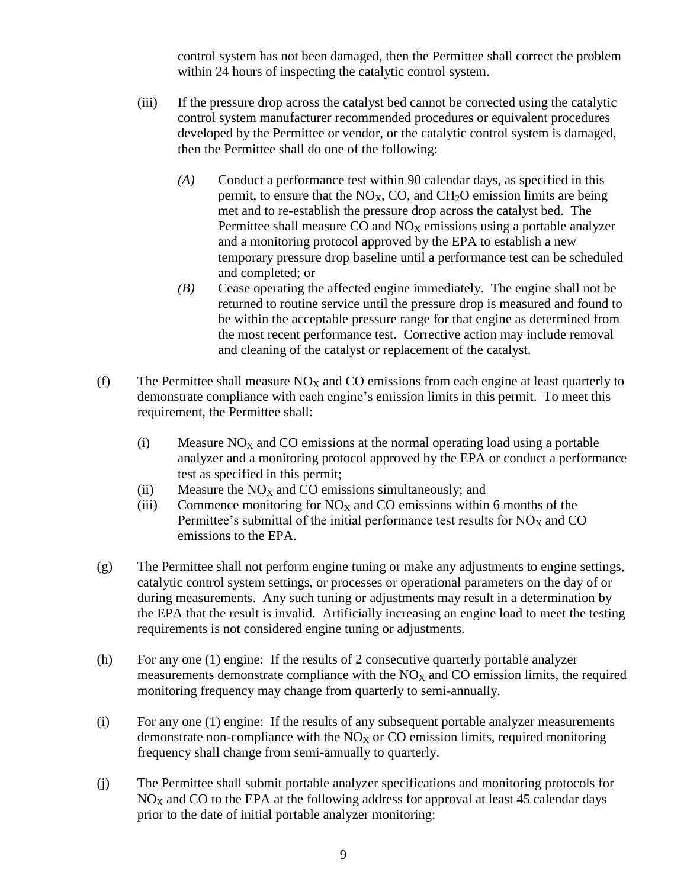control system has not been damaged, then the Permittee shall correct the problem within 24 hours of inspecting the catalytic control system.

- (iii) If the pressure drop across the catalyst bed cannot be corrected using the catalytic control system manufacturer recommended procedures or equivalent procedures developed by the Permittee or vendor, or the catalytic control system is damaged, then the Permittee shall do one of the following:
	- *(A)* Conduct a performance test within 90 calendar days, as specified in this permit, to ensure that the  $NO<sub>X</sub>$ , CO, and CH<sub>2</sub>O emission limits are being met and to re-establish the pressure drop across the catalyst bed. The Permittee shall measure CO and  $NO<sub>X</sub>$  emissions using a portable analyzer and a monitoring protocol approved by the EPA to establish a new temporary pressure drop baseline until a performance test can be scheduled and completed; or
	- *(B)* Cease operating the affected engine immediately. The engine shall not be returned to routine service until the pressure drop is measured and found to be within the acceptable pressure range for that engine as determined from the most recent performance test. Corrective action may include removal and cleaning of the catalyst or replacement of the catalyst.
- (f) The Permittee shall measure  $NO<sub>X</sub>$  and CO emissions from each engine at least quarterly to demonstrate compliance with each engine's emission limits in this permit. To meet this requirement, the Permittee shall:
	- (i) Measure  $NO<sub>X</sub>$  and CO emissions at the normal operating load using a portable analyzer and a monitoring protocol approved by the EPA or conduct a performance test as specified in this permit;
	- (ii) Measure the  $NO<sub>x</sub>$  and CO emissions simultaneously; and
	- (iii) Commence monitoring for  $NO<sub>x</sub>$  and CO emissions within 6 months of the Permittee's submittal of the initial performance test results for  $NO<sub>X</sub>$  and  $CO$ emissions to the EPA.
- (g) The Permittee shall not perform engine tuning or make any adjustments to engine settings, catalytic control system settings, or processes or operational parameters on the day of or during measurements. Any such tuning or adjustments may result in a determination by the EPA that the result is invalid. Artificially increasing an engine load to meet the testing requirements is not considered engine tuning or adjustments.
- (h) For any one (1) engine: If the results of 2 consecutive quarterly portable analyzer measurements demonstrate compliance with the  $NO<sub>X</sub>$  and  $CO$  emission limits, the required monitoring frequency may change from quarterly to semi-annually.
- (i) For any one (1) engine: If the results of any subsequent portable analyzer measurements demonstrate non-compliance with the  $NO<sub>X</sub>$  or CO emission limits, required monitoring frequency shall change from semi-annually to quarterly.
- (j) The Permittee shall submit portable analyzer specifications and monitoring protocols for  $NO<sub>X</sub>$  and CO to the EPA at the following address for approval at least 45 calendar days prior to the date of initial portable analyzer monitoring: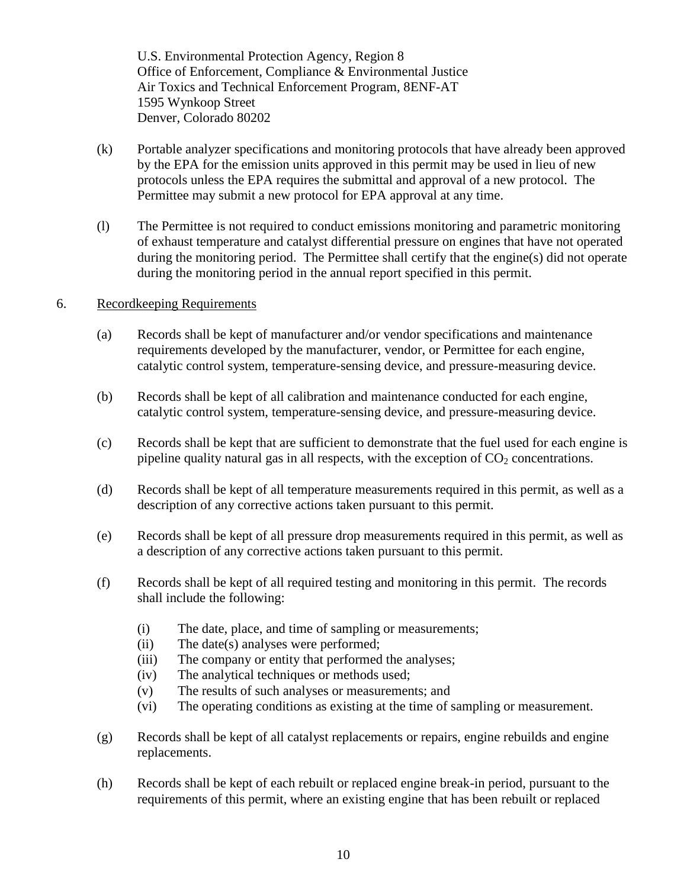U.S. Environmental Protection Agency, Region 8 Office of Enforcement, Compliance & Environmental Justice Air Toxics and Technical Enforcement Program, 8ENF-AT 1595 Wynkoop Street Denver, Colorado 80202

- (k) Portable analyzer specifications and monitoring protocols that have already been approved by the EPA for the emission units approved in this permit may be used in lieu of new protocols unless the EPA requires the submittal and approval of a new protocol. The Permittee may submit a new protocol for EPA approval at any time.
- (l) The Permittee is not required to conduct emissions monitoring and parametric monitoring of exhaust temperature and catalyst differential pressure on engines that have not operated during the monitoring period. The Permittee shall certify that the engine(s) did not operate during the monitoring period in the annual report specified in this permit.

#### 6. Recordkeeping Requirements

- (a) Records shall be kept of manufacturer and/or vendor specifications and maintenance requirements developed by the manufacturer, vendor, or Permittee for each engine, catalytic control system, temperature-sensing device, and pressure-measuring device.
- (b) Records shall be kept of all calibration and maintenance conducted for each engine, catalytic control system, temperature-sensing device, and pressure-measuring device.
- (c) Records shall be kept that are sufficient to demonstrate that the fuel used for each engine is pipeline quality natural gas in all respects, with the exception of  $CO<sub>2</sub>$  concentrations.
- (d) Records shall be kept of all temperature measurements required in this permit, as well as a description of any corrective actions taken pursuant to this permit.
- (e) Records shall be kept of all pressure drop measurements required in this permit, as well as a description of any corrective actions taken pursuant to this permit.
- (f) Records shall be kept of all required testing and monitoring in this permit. The records shall include the following:
	- (i) The date, place, and time of sampling or measurements;
	- (ii) The date(s) analyses were performed;
	- (iii) The company or entity that performed the analyses;
	- (iv) The analytical techniques or methods used;
	- (v) The results of such analyses or measurements; and
	- (vi) The operating conditions as existing at the time of sampling or measurement.
- (g) Records shall be kept of all catalyst replacements or repairs, engine rebuilds and engine replacements.
- (h) Records shall be kept of each rebuilt or replaced engine break-in period, pursuant to the requirements of this permit, where an existing engine that has been rebuilt or replaced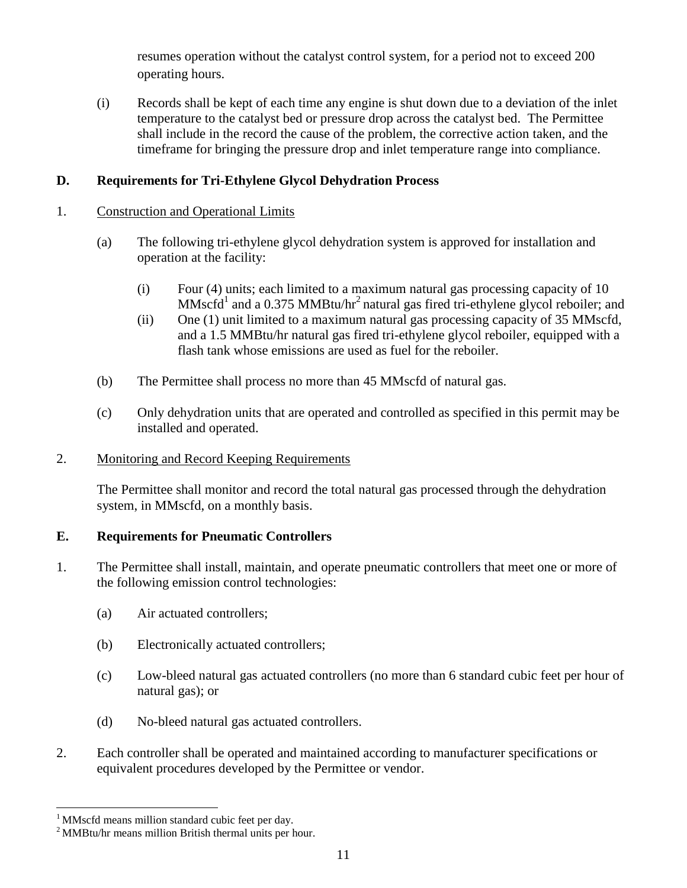<span id="page-18-0"></span>resumes operation without the catalyst control system, for a period not to exceed 200 operating hours.

(i) Records shall be kept of each time any engine is shut down due to a deviation of the inlet temperature to the catalyst bed or pressure drop across the catalyst bed. The Permittee shall include in the record the cause of the problem, the corrective action taken, and the timeframe for bringing the pressure drop and inlet temperature range into compliance.

## **D. Requirements for Tri-Ethylene Glycol Dehydration Process**

#### 1. Construction and Operational Limits

- (a) The following tri-ethylene glycol dehydration system is approved for installation and operation at the facility:
	- (i) Four (4) units; each limited to a maximum natural gas processing capacity of 10  $MMscfd<sup>1</sup>$  and a 0.375 MMBtu/hr<sup>2</sup> natural gas fired tri-ethylene glycol reboiler; and
	- (ii) One (1) unit limited to a maximum natural gas processing capacity of 35 MMscfd, and a 1.5 MMBtu/hr natural gas fired tri-ethylene glycol reboiler, equipped with a flash tank whose emissions are used as fuel for the reboiler.
- (b) The Permittee shall process no more than 45 MMscfd of natural gas.
- (c) Only dehydration units that are operated and controlled as specified in this permit may be installed and operated.

## 2. Monitoring and Record Keeping Requirements

<span id="page-18-1"></span>The Permittee shall monitor and record the total natural gas processed through the dehydration system, in MMscfd, on a monthly basis.

## **E. Requirements for Pneumatic Controllers**

- 1. The Permittee shall install, maintain, and operate pneumatic controllers that meet one or more of the following emission control technologies:
	- (a) Air actuated controllers;
	- (b) Electronically actuated controllers;
	- (c) Low-bleed natural gas actuated controllers (no more than 6 standard cubic feet per hour of natural gas); or
	- (d) No-bleed natural gas actuated controllers.
- 2. Each controller shall be operated and maintained according to manufacturer specifications or equivalent procedures developed by the Permittee or vendor.

 $\overline{a}$ 

<sup>&</sup>lt;sup>1</sup> MMscfd means million standard cubic feet per day.

<sup>2</sup> MMBtu/hr means million British thermal units per hour.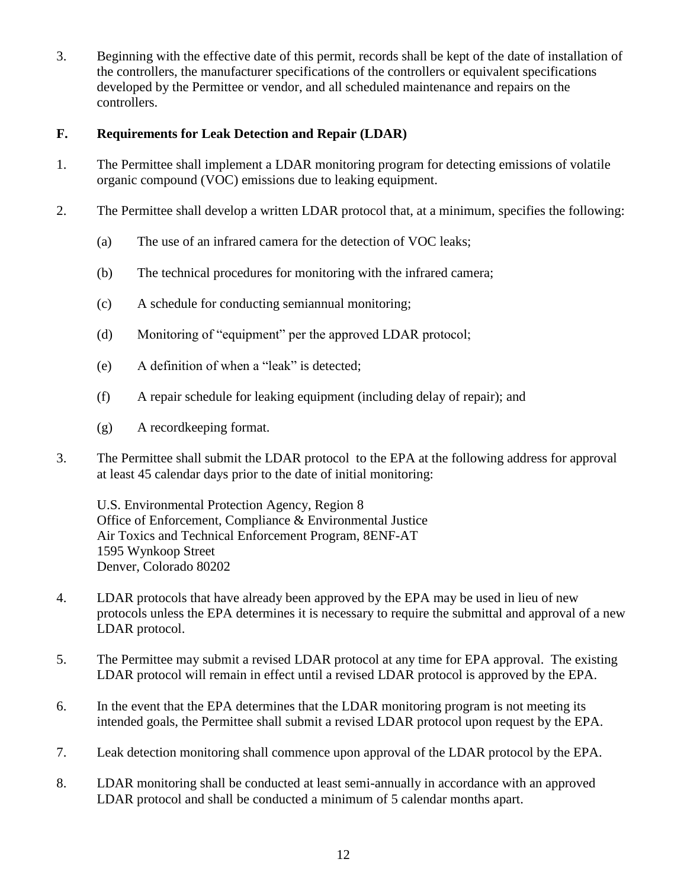3. Beginning with the effective date of this permit, records shall be kept of the date of installation of the controllers, the manufacturer specifications of the controllers or equivalent specifications developed by the Permittee or vendor, and all scheduled maintenance and repairs on the controllers.

## <span id="page-19-0"></span>**F. Requirements for Leak Detection and Repair (LDAR)**

- 1. The Permittee shall implement a LDAR monitoring program for detecting emissions of volatile organic compound (VOC) emissions due to leaking equipment.
- 2. The Permittee shall develop a written LDAR protocol that, at a minimum, specifies the following:
	- (a) The use of an infrared camera for the detection of VOC leaks;
	- (b) The technical procedures for monitoring with the infrared camera;
	- (c) A schedule for conducting semiannual monitoring;
	- (d) Monitoring of "equipment" per the approved LDAR protocol;
	- (e) A definition of when a "leak" is detected;
	- (f) A repair schedule for leaking equipment (including delay of repair); and
	- (g) A recordkeeping format.
- 3. The Permittee shall submit the LDAR protocol to the EPA at the following address for approval at least 45 calendar days prior to the date of initial monitoring:

U.S. Environmental Protection Agency, Region 8 Office of Enforcement, Compliance & Environmental Justice Air Toxics and Technical Enforcement Program, 8ENF-AT 1595 Wynkoop Street Denver, Colorado 80202

- 4. LDAR protocols that have already been approved by the EPA may be used in lieu of new protocols unless the EPA determines it is necessary to require the submittal and approval of a new LDAR protocol.
- 5. The Permittee may submit a revised LDAR protocol at any time for EPA approval. The existing LDAR protocol will remain in effect until a revised LDAR protocol is approved by the EPA.
- 6. In the event that the EPA determines that the LDAR monitoring program is not meeting its intended goals, the Permittee shall submit a revised LDAR protocol upon request by the EPA.
- 7. Leak detection monitoring shall commence upon approval of the LDAR protocol by the EPA.
- 8. LDAR monitoring shall be conducted at least semi-annually in accordance with an approved LDAR protocol and shall be conducted a minimum of 5 calendar months apart.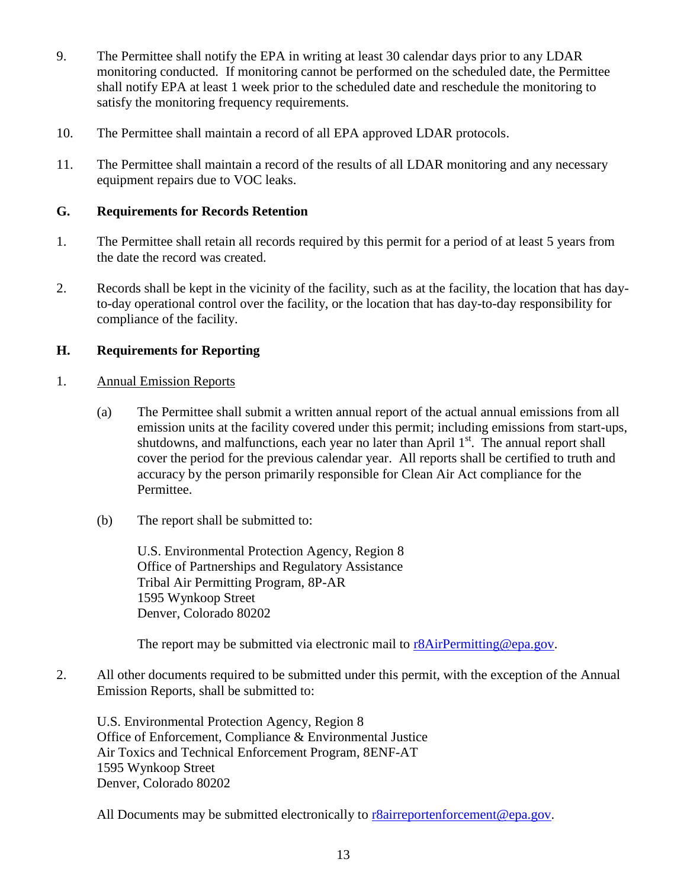- 9. The Permittee shall notify the EPA in writing at least 30 calendar days prior to any LDAR monitoring conducted. If monitoring cannot be performed on the scheduled date, the Permittee shall notify EPA at least 1 week prior to the scheduled date and reschedule the monitoring to satisfy the monitoring frequency requirements.
- 10. The Permittee shall maintain a record of all EPA approved LDAR protocols.
- 11. The Permittee shall maintain a record of the results of all LDAR monitoring and any necessary equipment repairs due to VOC leaks.

## <span id="page-20-0"></span>**G. Requirements for Records Retention**

- 1. The Permittee shall retain all records required by this permit for a period of at least 5 years from the date the record was created.
- 2. Records shall be kept in the vicinity of the facility, such as at the facility, the location that has dayto-day operational control over the facility, or the location that has day-to-day responsibility for compliance of the facility.

## <span id="page-20-1"></span>**H. Requirements for Reporting**

- 1. Annual Emission Reports
	- (a) The Permittee shall submit a written annual report of the actual annual emissions from all emission units at the facility covered under this permit; including emissions from start-ups, shutdowns, and malfunctions, each year no later than April  $1<sup>st</sup>$ . The annual report shall cover the period for the previous calendar year. All reports shall be certified to truth and accuracy by the person primarily responsible for Clean Air Act compliance for the Permittee.
	- (b) The report shall be submitted to:

U.S. Environmental Protection Agency, Region 8 Office of Partnerships and Regulatory Assistance Tribal Air Permitting Program, 8P-AR 1595 Wynkoop Street Denver, Colorado 80202

The report may be submitted via electronic mail to r<sup>8</sup>AirPermitting@epa.gov.

2. All other documents required to be submitted under this permit, with the exception of the Annual Emission Reports, shall be submitted to:

U.S. Environmental Protection Agency, Region 8 Office of Enforcement, Compliance & Environmental Justice Air Toxics and Technical Enforcement Program, 8ENF-AT 1595 Wynkoop Street Denver, Colorado 80202

All Documents may be submitted electronically to reducement of the epa.gov.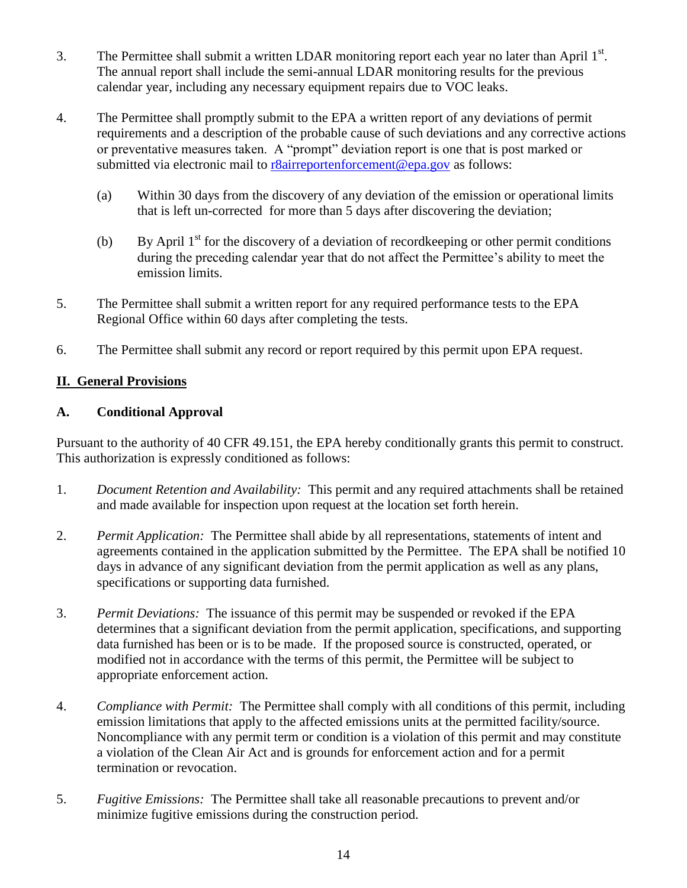- 3. The Permittee shall submit a written LDAR monitoring report each year no later than April  $1<sup>st</sup>$ . The annual report shall include the semi-annual LDAR monitoring results for the previous calendar year, including any necessary equipment repairs due to VOC leaks.
- 4. The Permittee shall promptly submit to the EPA a written report of any deviations of permit requirements and a description of the probable cause of such deviations and any corrective actions or preventative measures taken. A "prompt" deviation report is one that is post marked or submitted via electronic mail to r<sup>8</sup>airreportenforcement@epa.gov as follows:
	- (a) Within 30 days from the discovery of any deviation of the emission or operational limits that is left un-corrected for more than 5 days after discovering the deviation;
	- (b) By April  $1<sup>st</sup>$  for the discovery of a deviation of recordkeeping or other permit conditions during the preceding calendar year that do not affect the Permittee's ability to meet the emission limits.
- 5. The Permittee shall submit a written report for any required performance tests to the EPA Regional Office within 60 days after completing the tests.
- 6. The Permittee shall submit any record or report required by this permit upon EPA request.

## <span id="page-21-0"></span>**II. General Provisions**

## <span id="page-21-1"></span>**A. Conditional Approval**

Pursuant to the authority of 40 CFR 49.151, the EPA hereby conditionally grants this permit to construct. This authorization is expressly conditioned as follows:

- 1. *Document Retention and Availability:* This permit and any required attachments shall be retained and made available for inspection upon request at the location set forth herein.
- 2. *Permit Application:* The Permittee shall abide by all representations, statements of intent and agreements contained in the application submitted by the Permittee. The EPA shall be notified 10 days in advance of any significant deviation from the permit application as well as any plans, specifications or supporting data furnished.
- 3. *Permit Deviations:* The issuance of this permit may be suspended or revoked if the EPA determines that a significant deviation from the permit application, specifications, and supporting data furnished has been or is to be made. If the proposed source is constructed, operated, or modified not in accordance with the terms of this permit, the Permittee will be subject to appropriate enforcement action.
- 4. *Compliance with Permit:* The Permittee shall comply with all conditions of this permit, including emission limitations that apply to the affected emissions units at the permitted facility/source. Noncompliance with any permit term or condition is a violation of this permit and may constitute a violation of the Clean Air Act and is grounds for enforcement action and for a permit termination or revocation.
- 5. *Fugitive Emissions:* The Permittee shall take all reasonable precautions to prevent and/or minimize fugitive emissions during the construction period.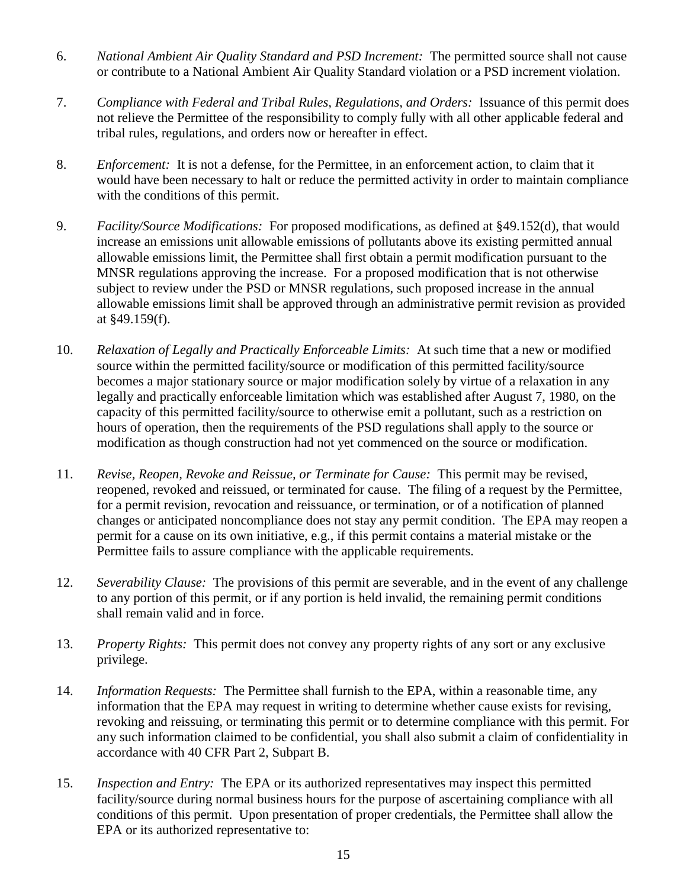- 6. *National Ambient Air Quality Standard and PSD Increment:* The permitted source shall not cause or contribute to a National Ambient Air Quality Standard violation or a PSD increment violation.
- 7. *Compliance with Federal and Tribal Rules, Regulations, and Orders:* Issuance of this permit does not relieve the Permittee of the responsibility to comply fully with all other applicable federal and tribal rules, regulations, and orders now or hereafter in effect.
- 8. *Enforcement:* It is not a defense, for the Permittee, in an enforcement action, to claim that it would have been necessary to halt or reduce the permitted activity in order to maintain compliance with the conditions of this permit.
- 9. *Facility/Source Modifications:* For proposed modifications, as defined at §49.152(d), that would increase an emissions unit allowable emissions of pollutants above its existing permitted annual allowable emissions limit, the Permittee shall first obtain a permit modification pursuant to the MNSR regulations approving the increase. For a proposed modification that is not otherwise subject to review under the PSD or MNSR regulations, such proposed increase in the annual allowable emissions limit shall be approved through an administrative permit revision as provided at §49.159(f).
- 10. *Relaxation of Legally and Practically Enforceable Limits:* At such time that a new or modified source within the permitted facility/source or modification of this permitted facility/source becomes a major stationary source or major modification solely by virtue of a relaxation in any legally and practically enforceable limitation which was established after August 7, 1980, on the capacity of this permitted facility/source to otherwise emit a pollutant, such as a restriction on hours of operation, then the requirements of the PSD regulations shall apply to the source or modification as though construction had not yet commenced on the source or modification.
- 11. *Revise, Reopen, Revoke and Reissue, or Terminate for Cause:* This permit may be revised, reopened, revoked and reissued, or terminated for cause. The filing of a request by the Permittee, for a permit revision, revocation and reissuance, or termination, or of a notification of planned changes or anticipated noncompliance does not stay any permit condition. The EPA may reopen a permit for a cause on its own initiative, e.g., if this permit contains a material mistake or the Permittee fails to assure compliance with the applicable requirements.
- 12. *Severability Clause:* The provisions of this permit are severable, and in the event of any challenge to any portion of this permit, or if any portion is held invalid, the remaining permit conditions shall remain valid and in force.
- 13. *Property Rights:* This permit does not convey any property rights of any sort or any exclusive privilege.
- 14. *Information Requests:* The Permittee shall furnish to the EPA, within a reasonable time, any information that the EPA may request in writing to determine whether cause exists for revising, revoking and reissuing, or terminating this permit or to determine compliance with this permit. For any such information claimed to be confidential, you shall also submit a claim of confidentiality in accordance with 40 CFR Part 2, Subpart B.
- 15. *Inspection and Entry:* The EPA or its authorized representatives may inspect this permitted facility/source during normal business hours for the purpose of ascertaining compliance with all conditions of this permit. Upon presentation of proper credentials, the Permittee shall allow the EPA or its authorized representative to: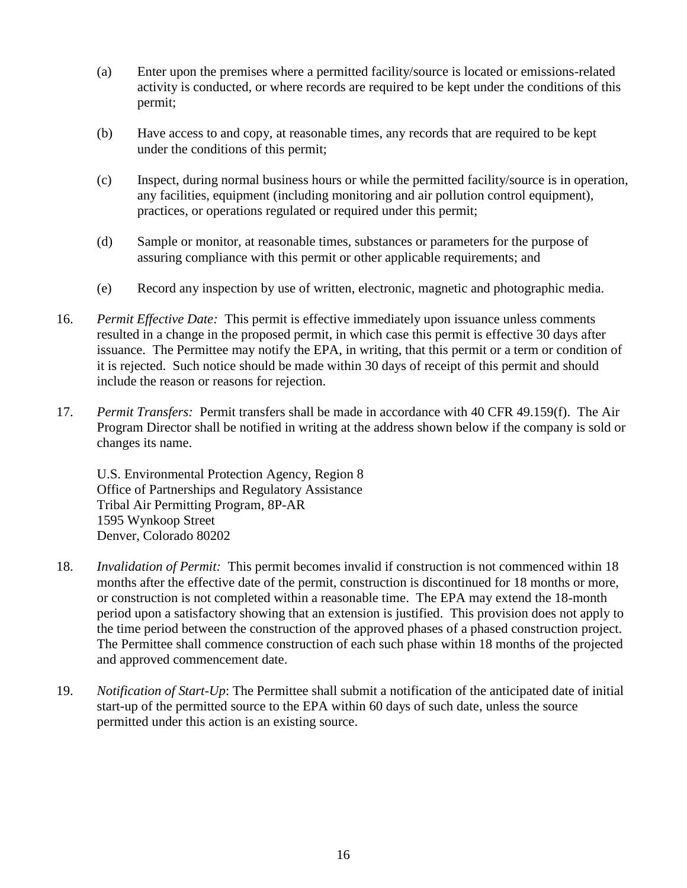- (a) Enter upon the premises where a permitted facility/source is located or emissions-related activity is conducted, or where records are required to be kept under the conditions of this permit;
- (b) Have access to and copy, at reasonable times, any records that are required to be kept under the conditions of this permit;
- (c) Inspect, during normal business hours or while the permitted facility/source is in operation, any facilities, equipment (including monitoring and air pollution control equipment), practices, or operations regulated or required under this permit;
- (d) Sample or monitor, at reasonable times, substances or parameters for the purpose of assuring compliance with this permit or other applicable requirements; and
- (e) Record any inspection by use of written, electronic, magnetic and photographic media.
- 16. *Permit Effective Date:* This permit is effective immediately upon issuance unless comments resulted in a change in the proposed permit, in which case this permit is effective 30 days after issuance. The Permittee may notify the EPA, in writing, that this permit or a term or condition of it is rejected. Such notice should be made within 30 days of receipt of this permit and should include the reason or reasons for rejection.
- 17. *Permit Transfers:* Permit transfers shall be made in accordance with 40 CFR 49.159(f). The Air Program Director shall be notified in writing at the address shown below if the company is sold or changes its name.

U.S. Environmental Protection Agency, Region 8 Office of Partnerships and Regulatory Assistance Tribal Air Permitting Program, 8P-AR 1595 Wynkoop Street Denver, Colorado 80202

- 18. *Invalidation of Permit:* This permit becomes invalid if construction is not commenced within 18 months after the effective date of the permit, construction is discontinued for 18 months or more, or construction is not completed within a reasonable time. The EPA may extend the 18-month period upon a satisfactory showing that an extension is justified. This provision does not apply to the time period between the construction of the approved phases of a phased construction project. The Permittee shall commence construction of each such phase within 18 months of the projected and approved commencement date.
- 19. *Notification of Start-Up*: The Permittee shall submit a notification of the anticipated date of initial start-up of the permitted source to the EPA within 60 days of such date, unless the source permitted under this action is an existing source.